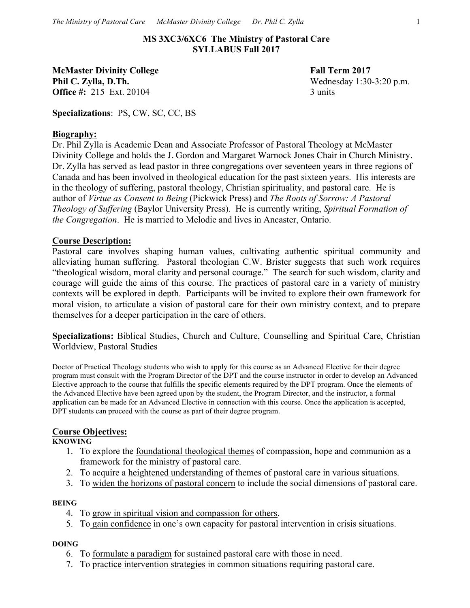**MS 3XC3/6XC6 The Ministry of Pastoral Care SYLLABUS Fall 2017**

**McMaster Divinity College Fall Term 2017 Phil C. Zylla, D.Th.** Wednesday 1:30-3:20 p.m. **Office #:** 215 Ext. 20104 3 units

**Specializations**: PS, CW, SC, CC, BS

#### **Biography:**

Dr. Phil Zylla is Academic Dean and Associate Professor of Pastoral Theology at McMaster Divinity College and holds the J. Gordon and Margaret Warnock Jones Chair in Church Ministry. Dr. Zylla has served as lead pastor in three congregations over seventeen years in three regions of Canada and has been involved in theological education for the past sixteen years. His interests are in the theology of suffering, pastoral theology, Christian spirituality, and pastoral care. He is author of *Virtue as Consent to Being* (Pickwick Press) and *The Roots of Sorrow: A Pastoral Theology of Suffering* (Baylor University Press). He is currently writing, *Spiritual Formation of the Congregation*. He is married to Melodie and lives in Ancaster, Ontario.

#### **Course Description:**

Pastoral care involves shaping human values, cultivating authentic spiritual community and alleviating human suffering. Pastoral theologian C.W. Brister suggests that such work requires "theological wisdom, moral clarity and personal courage." The search for such wisdom, clarity and courage will guide the aims of this course. The practices of pastoral care in a variety of ministry contexts will be explored in depth. Participants will be invited to explore their own framework for moral vision, to articulate a vision of pastoral care for their own ministry context, and to prepare themselves for a deeper participation in the care of others.

**Specializations:** Biblical Studies, Church and Culture, Counselling and Spiritual Care, Christian Worldview, Pastoral Studies

Doctor of Practical Theology students who wish to apply for this course as an Advanced Elective for their degree program must consult with the Program Director of the DPT and the course instructor in order to develop an Advanced Elective approach to the course that fulfills the specific elements required by the DPT program. Once the elements of the Advanced Elective have been agreed upon by the student, the Program Director, and the instructor, a formal application can be made for an Advanced Elective in connection with this course. Once the application is accepted, DPT students can proceed with the course as part of their degree program.

## **Course Objectives:**

**KNOWING**

- 1. To explore the foundational theological themes of compassion, hope and communion as a framework for the ministry of pastoral care.
- 2. To acquire a heightened understanding of themes of pastoral care in various situations.
- 3. To widen the horizons of pastoral concern to include the social dimensions of pastoral care.

#### **BEING**

- 4. To grow in spiritual vision and compassion for others.
- 5. To gain confidence in one's own capacity for pastoral intervention in crisis situations.

#### **DOING**

- 6. To formulate a paradigm for sustained pastoral care with those in need.
- 7. To practice intervention strategies in common situations requiring pastoral care.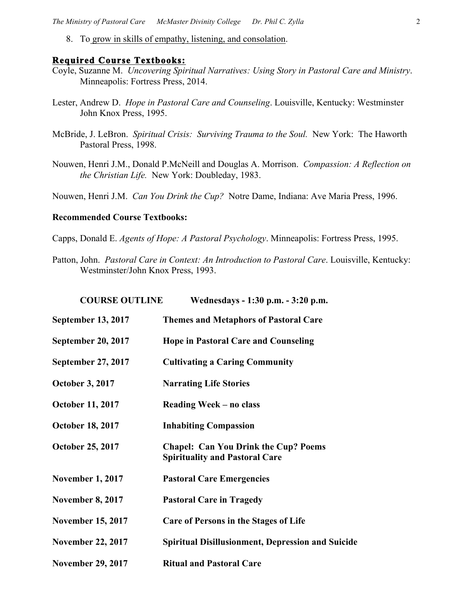8. To grow in skills of empathy, listening, and consolation.

### **Required Course Textbooks:**

- Coyle, Suzanne M. *Uncovering Spiritual Narratives: Using Story in Pastoral Care and Ministry*. Minneapolis: Fortress Press, 2014.
- Lester, Andrew D. *Hope in Pastoral Care and Counseling*. Louisville, Kentucky: Westminster John Knox Press, 1995.
- McBride, J. LeBron. *Spiritual Crisis: Surviving Trauma to the Soul.* New York: The Haworth Pastoral Press, 1998.
- Nouwen, Henri J.M., Donald P.McNeill and Douglas A. Morrison. *Compassion: A Reflection on the Christian Life.*New York: Doubleday, 1983.

Nouwen, Henri J.M. *Can You Drink the Cup?* Notre Dame, Indiana: Ave Maria Press, 1996.

#### **Recommended Course Textbooks:**

Capps, Donald E. *Agents of Hope: A Pastoral Psychology*. Minneapolis: Fortress Press, 1995.

Patton, John. *Pastoral Care in Context: An Introduction to Pastoral Care*. Louisville, Kentucky: Westminster/John Knox Press, 1993.

| <b>COURSE OUTLINE</b>     | Wednesdays - 1:30 p.m. - 3:20 p.m.                                                   |
|---------------------------|--------------------------------------------------------------------------------------|
| <b>September 13, 2017</b> | <b>Themes and Metaphors of Pastoral Care</b>                                         |
| <b>September 20, 2017</b> | <b>Hope in Pastoral Care and Counseling</b>                                          |
| September 27, 2017        | <b>Cultivating a Caring Community</b>                                                |
| <b>October 3, 2017</b>    | <b>Narrating Life Stories</b>                                                        |
| <b>October 11, 2017</b>   | Reading Week – no class                                                              |
| <b>October 18, 2017</b>   | <b>Inhabiting Compassion</b>                                                         |
| <b>October 25, 2017</b>   | <b>Chapel: Can You Drink the Cup? Poems</b><br><b>Spirituality and Pastoral Care</b> |
| <b>November 1, 2017</b>   | <b>Pastoral Care Emergencies</b>                                                     |
| <b>November 8, 2017</b>   | <b>Pastoral Care in Tragedy</b>                                                      |
| <b>November 15, 2017</b>  | <b>Care of Persons in the Stages of Life</b>                                         |
| <b>November 22, 2017</b>  | <b>Spiritual Disillusionment, Depression and Suicide</b>                             |
| <b>November 29, 2017</b>  | <b>Ritual and Pastoral Care</b>                                                      |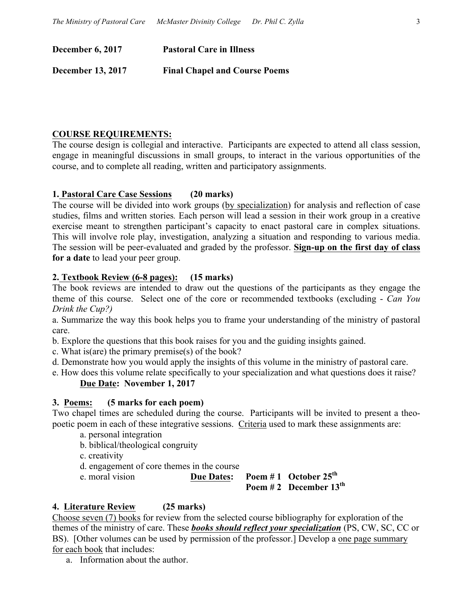**December 6, 2017 Pastoral Care in Illness**

**December 13, 2017 Final Chapel and Course Poems**

# **COURSE REQUIREMENTS:**

The course design is collegial and interactive. Participants are expected to attend all class session, engage in meaningful discussions in small groups, to interact in the various opportunities of the course, and to complete all reading, written and participatory assignments.

# **1. Pastoral Care Case Sessions (20 marks)**

The course will be divided into work groups (by specialization) for analysis and reflection of case studies, films and written stories*.* Each person will lead a session in their work group in a creative exercise meant to strengthen participant's capacity to enact pastoral care in complex situations. This will involve role play, investigation, analyzing a situation and responding to various media. The session will be peer-evaluated and graded by the professor. **Sign-up on the first day of class for a date** to lead your peer group.

## **2. Textbook Review (6-8 pages): (15 marks)**

The book reviews are intended to draw out the questions of the participants as they engage the theme of this course. Select one of the core or recommended textbooks (excluding - *Can You Drink the Cup?)*

a. Summarize the way this book helps you to frame your understanding of the ministry of pastoral care.

b. Explore the questions that this book raises for you and the guiding insights gained.

c. What is(are) the primary premise(s) of the book?

- d. Demonstrate how you would apply the insights of this volume in the ministry of pastoral care.
- e. How does this volume relate specifically to your specialization and what questions does it raise?

# **Due Date: November 1, 2017**

## **3. Poems: (5 marks for each poem)**

Two chapel times are scheduled during the course. Participants will be invited to present a theopoetic poem in each of these integrative sessions. Criteria used to mark these assignments are:

- a. personal integration
- b. biblical/theological congruity
- c. creativity
- d. engagement of core themes in the course
- e. moral vision **Due Dates: Poem # 1 October 25th**

**Poem # 2 December 13th**

# **4. Literature Review (25 marks)**

Choose seven (7) books for review from the selected course bibliography for exploration of the themes of the ministry of care. These *books should reflect your specialization* (PS, CW, SC, CC or BS). [Other volumes can be used by permission of the professor.] Develop a one page summary for each book that includes:

a. Information about the author.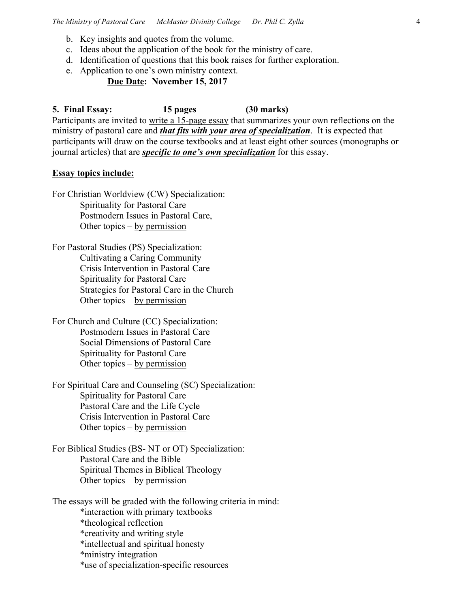- b. Key insights and quotes from the volume.
- c. Ideas about the application of the book for the ministry of care.
- d. Identification of questions that this book raises for further exploration.
- e. Application to one's own ministry context.

## **Due Date: November 15, 2017**

**5. Final Essay: 15 pages (30 marks)** Participants are invited to write a 15-page essay that summarizes your own reflections on the ministry of pastoral care and *that fits with your area of specialization*. It is expected that participants will draw on the course textbooks and at least eight other sources (monographs or journal articles) that are *specific to one's own specialization* for this essay.

### **Essay topics include:**

For Christian Worldview (CW) Specialization: Spirituality for Pastoral Care Postmodern Issues in Pastoral Care, Other topics – by permission

For Pastoral Studies (PS) Specialization: Cultivating a Caring Community Crisis Intervention in Pastoral Care Spirituality for Pastoral Care Strategies for Pastoral Care in the Church Other topics – by permission

For Church and Culture (CC) Specialization: Postmodern Issues in Pastoral Care Social Dimensions of Pastoral Care Spirituality for Pastoral Care Other topics – by permission

For Spiritual Care and Counseling (SC) Specialization: Spirituality for Pastoral Care Pastoral Care and the Life Cycle Crisis Intervention in Pastoral Care Other topics – by permission

For Biblical Studies (BS- NT or OT) Specialization: Pastoral Care and the Bible Spiritual Themes in Biblical Theology Other topics – by permission

The essays will be graded with the following criteria in mind: \*interaction with primary textbooks

\*theological reflection

\*creativity and writing style

\*intellectual and spiritual honesty

\*ministry integration

\*use of specialization-specific resources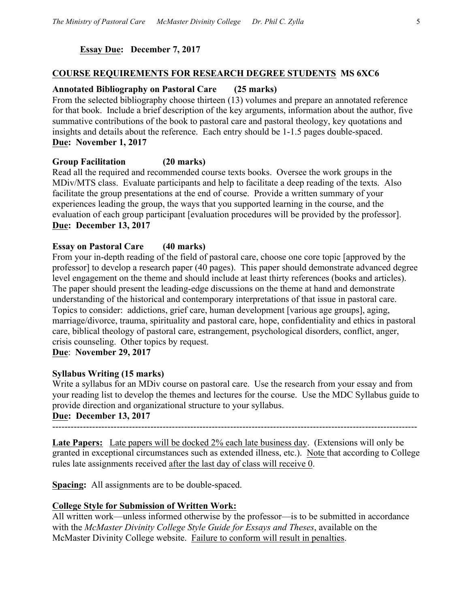## **Essay Due: December 7, 2017**

### **COURSE REQUIREMENTS FOR RESEARCH DEGREE STUDENTS MS 6XC6**

### **Annotated Bibliography on Pastoral Care (25 marks)**

From the selected bibliography choose thirteen (13) volumes and prepare an annotated reference for that book. Include a brief description of the key arguments, information about the author, five summative contributions of the book to pastoral care and pastoral theology, key quotations and insights and details about the reference. Each entry should be 1-1.5 pages double-spaced. **Due: November 1, 2017**

## **Group Facilitation (20 marks)**

Read all the required and recommended course texts books. Oversee the work groups in the MDiv/MTS class. Evaluate participants and help to facilitate a deep reading of the texts. Also facilitate the group presentations at the end of course. Provide a written summary of your experiences leading the group, the ways that you supported learning in the course, and the evaluation of each group participant [evaluation procedures will be provided by the professor]. **Due: December 13, 2017**

## **Essay on Pastoral Care (40 marks)**

From your in-depth reading of the field of pastoral care, choose one core topic [approved by the professor] to develop a research paper (40 pages). This paper should demonstrate advanced degree level engagement on the theme and should include at least thirty references (books and articles). The paper should present the leading-edge discussions on the theme at hand and demonstrate understanding of the historical and contemporary interpretations of that issue in pastoral care. Topics to consider: addictions, grief care, human development [various age groups], aging, marriage/divorce, trauma, spirituality and pastoral care, hope, confidentiality and ethics in pastoral care, biblical theology of pastoral care, estrangement, psychological disorders, conflict, anger, crisis counseling. Other topics by request.

**Due**: **November 29, 2017**

## **Syllabus Writing (15 marks)**

Write a syllabus for an MDiv course on pastoral care. Use the research from your essay and from your reading list to develop the themes and lectures for the course. Use the MDC Syllabus guide to provide direction and organizational structure to your syllabus.

## **Due: December 13, 2017**

-----------------------------------------------------------------------------------------------------------------------

**Late Papers:** Late papers will be docked 2% each late business day. (Extensions will only be granted in exceptional circumstances such as extended illness, etc.). Note that according to College rules late assignments received after the last day of class will receive 0.

**Spacing:** All assignments are to be double-spaced.

## **College Style for Submission of Written Work:**

All written work—unless informed otherwise by the professor—is to be submitted in accordance with the *McMaster Divinity College Style Guide for Essays and Theses*, available on the McMaster Divinity College website. Failure to conform will result in penalties.